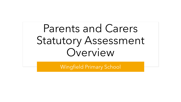Parents and Carers Statutory Assessment Overview

Wingfield Primary School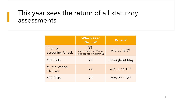#### This year sees the return of all statutory assessments

|                                   | <b>Which Year</b><br><b>Group?</b>                                     | <b>When?</b>              |
|-----------------------------------|------------------------------------------------------------------------|---------------------------|
| Phonics<br><b>Screening Check</b> | Y <sub>1</sub><br>(and children in Y2 who<br>did not pass in Autumn 2) | w.b. June 6 <sup>th</sup> |
| <b>KS1 SATs</b>                   | Y2                                                                     | <b>Throughout May</b>     |
| Multiplication<br>Checker         | Y4                                                                     | w.b. June 13th            |
| <b>KS2 SATs</b>                   | Y6                                                                     | May 9th - 12th            |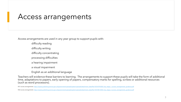#### Access arrangements

Access arrangements are used in any year group to support pupils with:

difficulty reading

difficulty writing

difficulty concentrating

processing difficulties

a hearing impairment

a visual impairment

English as an additional language

Teachers will evidence these barriers to learning. The arrangements to support these pupils will take the form of additional time, adaptations to papers, early opening of papers, compensatory marks for spelling, scribes or additional resources (such as word processors).

KS1 access arrangements: [https://assets.publishing.service.gov.uk/government/uploads/system/uploads/attachment\\_data/file/1031079/2022\\_key\\_stage\\_1\\_access\\_arrangements\\_guidance.pdf](https://assets.publishing.service.gov.uk/government/uploads/system/uploads/attachment_data/file/1031079/2022_key_stage_1_access_arrangements_guidance.pdf)

KS2 access arrangements: [https://assets.publishing.service.gov.uk/government/uploads/system/uploads/attachment\\_data/file/1031081/2022\\_key\\_stage\\_2\\_access\\_arrangements\\_guidance.pdf](https://assets.publishing.service.gov.uk/government/uploads/system/uploads/attachment_data/file/1031081/2022_key_stage_2_access_arrangements_guidance.pdf)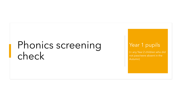## Phonics screening check

#### Year 1 pupils

(+ any Year 2 children who did not pass/were absent in the Autumn)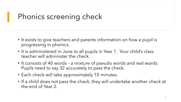## Phonics screening check

- It exists to give teachers and parents information on how a pupil is progressing in phonics.
- It is administered in June to all pupils in Year 1. Your child's class teacher will administer the check.
- It consists of 40 words a mixture of pseudo words and real words. Pupils need to say 32 accurately to pass the check.
- Each check will take approximately 10 minutes.
- If a child does not pass the check, they will undertake another check at the end of Year 2.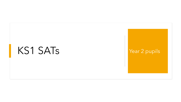## $KS1$   $SATs$  Year 2 pupils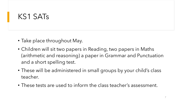#### KS1 SATs

- Take place throughout May.
- Children will sit two papers in Reading, two papers in Maths (arithmetic and reasoning) a paper in Grammar and Punctuation and a short spelling test.
- These will be administered in small groups by your child's class teacher.
- These tests are used to inform the class teacher's assessment.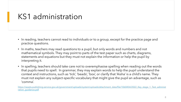#### KS1 administration

- In reading, teachers cannot read to individuals or to a group, except for the practice page and practice questions.
- In maths, teachers may read questions to a pupil, but only words and numbers and not mathematical symbols. They may point to parts of the test paper such as charts, diagrams, statements and equations but they must not explain the information or help the pupil by interpreting it.
- In spelling, teachers should take care not to overemphasise spelling when reading out the words that pupils need to spell. In grammar, they may explain words to help the pupil understand the context and instructions, such as 'tick', 'beads', 'box', or clarify that 'Aisha' is a child's name. They must not explain any subject-specific vocabulary that might give the pupil an advantage, such as 'comma'.

[https://assets.publishing.service.gov.uk/government/uploads/system/uploads/attachment\\_data/file/1060454/2022\\_Key\\_stage\\_1\\_Test\\_administ](https://assets.publishing.service.gov.uk/government/uploads/system/uploads/attachment_data/file/1060454/2022_Key_stage_1_Test_administration_guidance.pdf) ration\_quidance.pdf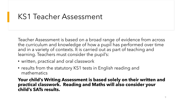### KS1 Teacher Assessment

Teacher Assessment is based on a broad range of evidence from across the curriculum and knowledge of how a pupil has performed over time and in a variety of contexts. It is carried out as part of teaching and learning. Teachers must consider the pupil's:

- written, practical and oral classwork
- results from the statutory KS1 tests in English reading and mathematics

**Your child's Writing Assessment is based solely on their written and practical classwork. Reading and Maths will also consider your child's SATs results.**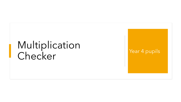# Multiplication Checker Year 4 pupils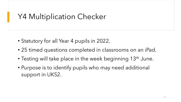### Y4 Multiplication Checker

- Statutory for all Year 4 pupils in 2022.
- 25 timed questions completed in classrooms on an iPad.
- Testing will take place in the week beginning 13<sup>th</sup> June.
- Purpose is to identify pupils who may need additional support in UKS2.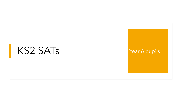## KS2 SATs Year 6 pupils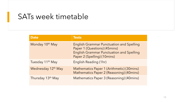#### SATs week timetable

| <b>Date</b>                    | <b>Tests</b>                                                                                                                                                      |
|--------------------------------|-------------------------------------------------------------------------------------------------------------------------------------------------------------------|
| Monday 10 <sup>th</sup> May    | <b>English Grammar Punctuation and Spelling</b><br>Paper 1 (Questions) (45mins)<br><b>English Grammar Punctuation and Spelling</b><br>Paper 2 (Spelling) (10mins) |
| Tuesday 11 <sup>th</sup> May   | English Reading (1hr)                                                                                                                                             |
| Wednesday 12 <sup>th</sup> May | Mathematics Paper 1 (Arithmetic) (30mins)<br>Mathematics Paper 2 (Reasoning) (40mins)                                                                             |
| Thursday 13th May              | Mathematics Paper 3 (Reasoning) (40mins)                                                                                                                          |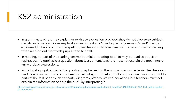#### KS2 administration

- In grammar, teachers may explain or rephrase a question provided they do not give away subjectspecific information. For example, if a question asks to "insert a pair of commas", 'insert' may be explained, but not 'commas'. In spelling, teachers should take care not to overemphasise spelling when reading out the words pupils need to spell.
- In reading, no part of the reading answer booklet or reading booklet may be read to pupils or rephrased. If a pupil asks a question about test content, teachers must not explain the meanings of any words or expressions.
- In maths, if a pupil requests it, a question may be read to them on a one-to-one basis. Teachers can read words and numbers but not mathematical symbols. At a pupil's request, teachers may point to parts of the test paper such as charts, diagrams, statements and equations, but teachers must not explain the information or help the pupil by interpreting it.

[https://assets.publishing.service.gov.uk/government/uploads/system/uploads/attachment\\_data/file/1060455/2022\\_KS2\\_Test\\_Administration\\_](https://assets.publishing.service.gov.uk/government/uploads/system/uploads/attachment_data/file/1060455/2022_KS2_Test_Administration_Guidance.pdf) Guidance.pdf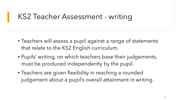### KS2 Teacher Assessment - writing

- Teachers will assess a pupil against a range of statements that relate to the KS2 English curriculum.
- Pupils' writing, on which teachers base their judgements, must be produced independently by the pupil.
- Teachers are given flexibility in reaching a rounded judgement about a pupil's overall attainment in writing.